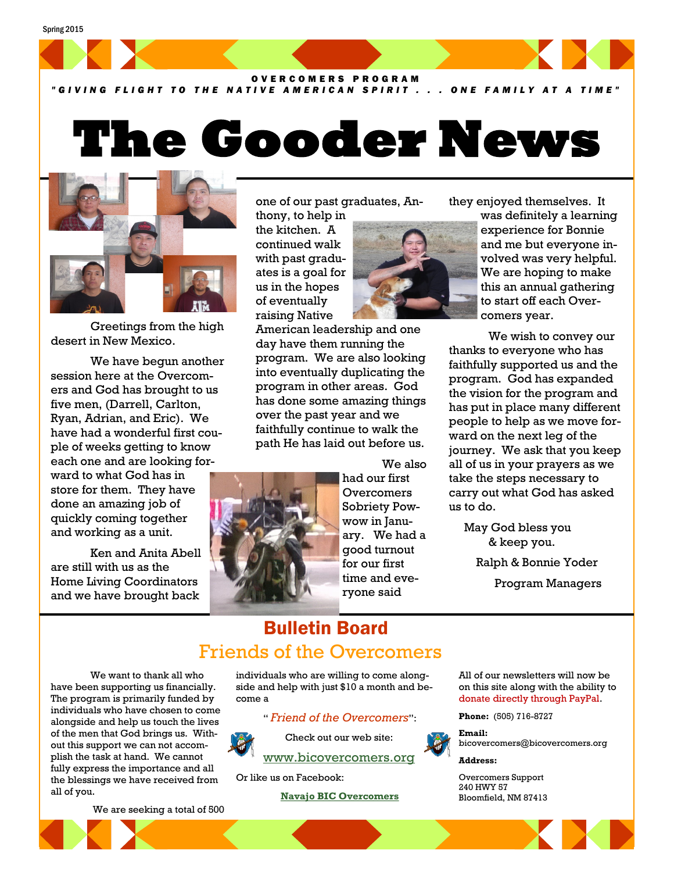

*" G I V I N G F L I G H T T O T H E N A T I V E A M E R I C A N S P I R I T . . . O N E F A M I L Y A T A T I M E "*

## **The Gooder News**



Greetings from the high desert in New Mexico.

We have begun another session here at the Overcomers and God has brought to us five men, (Darrell, Carlton, Ryan, Adrian, and Eric). We have had a wonderful first couple of weeks getting to know each one and are looking forward to what God has in store for them. They have done an amazing job of quickly coming together and working as a unit.

Ken and Anita Abell are still with us as the Home Living Coordinators and we have brought back

one of our past graduates, Anthony, to help in

the kitchen. A continued walk with past graduates is a goal for us in the hopes of eventually raising Native

American leadership and one day have them running the program. We are also looking into eventually duplicating the program in other areas. God has done some amazing things over the past year and we faithfully continue to walk the path He has laid out before us.



We also had our first **Overcomers** Sobriety Powwow in January. We had a good turnout for our first time and everyone said

they enjoyed themselves. It

was definitely a learning experience for Bonnie and me but everyone involved was very helpful. We are hoping to make this an annual gathering to start off each Overcomers year.

We wish to convey our thanks to everyone who has faithfully supported us and the program. God has expanded the vision for the program and has put in place many different people to help as we move forward on the next leg of the journey. We ask that you keep all of us in your prayers as we take the steps necessary to carry out what God has asked us to do.

 May God bless you & keep you.

Ralph & Bonnie Yoder

Program Managers

## Bulletin Board Friends of the Overcomers

We want to thank all who have been supporting us financially. The program is primarily funded by individuals who have chosen to come alongside and help us touch the lives of the men that God brings us. Without this support we can not accomplish the task at hand. We cannot fully express the importance and all the blessings we have received from all of you.

individuals who are willing to come alongside and help with just \$10 a month and become a

" *Friend of the Overcomers*":



Check out our web site: [www.bicovercomers.org](http://bicovercomers.org/)

Or like us on Facebook:

 **[Navajo BIC Overcomers](https://www.facebook.com/)**

All of our newsletters will now be on this site along with the ability to donate directly through PayPal.

**Phone:** (505) 716-8727

**Email:**  bicovercomers@bicovercomers.org

**Address:**

Overcomers Support 240 HWY 57 Bloomfield, NM 87413

We are seeking a total of 500